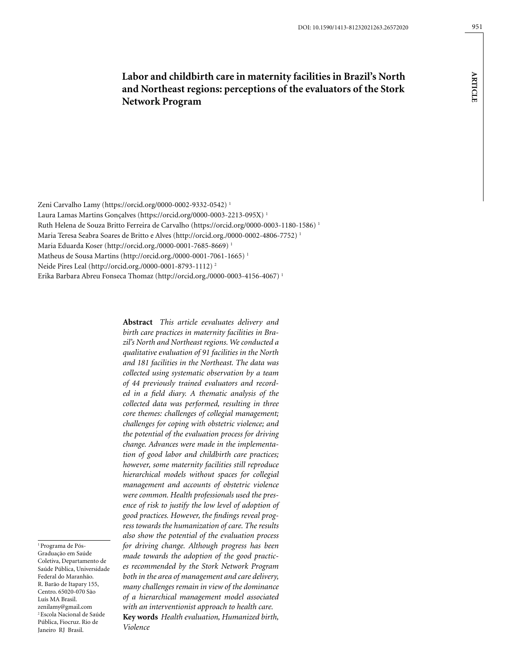# **Labor and childbirth care in maternity facilities in Brazil's North and Northeast regions: perceptions of the evaluators of the Stork Network Program**

**artic l e**

951

Zeni Carvalho Lamy (https://orcid.org/0000-0002-9332-0542) 1

Laura Lamas Martins Gonçalves (https://orcid.org/0000-0003-2213-095X) 1

Ruth Helena de Souza Britto Ferreira de Carvalho (https://orcid.org/0000-0003-1180-1586) 1

Maria Teresa Seabra Soares de Britto e Alves (http://orcid.org./0000-0002-4806-7752) 1

Maria Eduarda Koser (http://orcid.org./0000-0001-7685-8669) 1

Matheus de Sousa Martins (http://orcid.org./0000-0001-7061-1665) 1

Neide Pires Leal (http://orcid.org./0000-0001-8793-1112) 2

Erika Barbara Abreu Fonseca Thomaz (http://orcid.org./0000-0003-4156-4067) 1

**Abstract** *This article eevaluates delivery and birth care practices in maternity facilities in Brazil's North and Northeast regions. We conducted a qualitative evaluation of 91 facilities in the North and 181 facilities in the Northeast. The data was collected using systematic observation by a team of 44 previously trained evaluators and recorded in a field diary. A thematic analysis of the collected data was performed, resulting in three core themes: challenges of collegial management; challenges for coping with obstetric violence; and the potential of the evaluation process for driving change. Advances were made in the implementation of good labor and childbirth care practices; however, some maternity facilities still reproduce hierarchical models without spaces for collegial management and accounts of obstetric violence were common. Health professionals used the presence of risk to justify the low level of adoption of good practices. However, the findings reveal progress towards the humanization of care. The results also show the potential of the evaluation process for driving change. Although progress has been made towards the adoption of the good practices recommended by the Stork Network Program both in the area of management and care delivery, many challenges remain in view of the dominance of a hierarchical management model associated with an interventionist approach to health care.*

**Key words** *Health evaluation, Humanized birth, Violence*

1 Programa de Pós-Graduação em Saúde Coletiva, Departamento de Saúde Pública, Universidade Federal do Maranhão. R. Barão de Itapary 155, Centro. 65020-070 São Luís MA Brasil. zenilamy@gmail.com 2 Escola Nacional de Saúde Pública, Fiocruz. Rio de Janeiro RJ Brasil.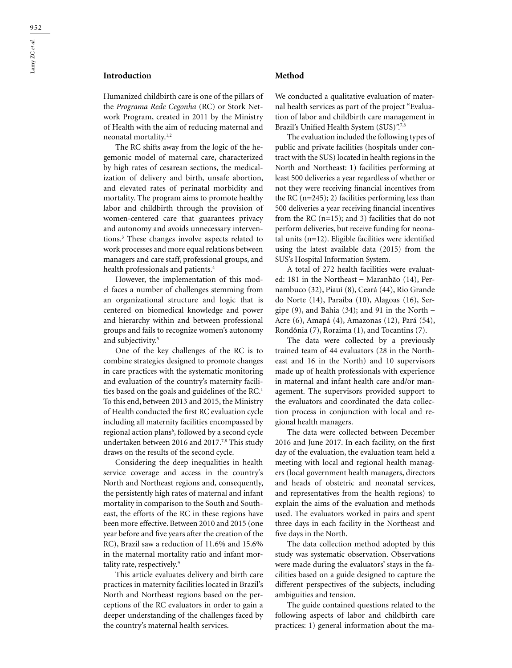## **Introduction**

Humanized childbirth care is one of the pillars of the *Programa Rede Cegonha* (RC) or Stork Network Program, created in 2011 by the Ministry of Health with the aim of reducing maternal and neonatal mortality.1,2

The RC shifts away from the logic of the hegemonic model of maternal care, characterized by high rates of cesarean sections, the medicalization of delivery and birth, unsafe abortion, and elevated rates of perinatal morbidity and mortality. The program aims to promote healthy labor and childbirth through the provision of women-centered care that guarantees privacy and autonomy and avoids unnecessary interventions.3 These changes involve aspects related to work processes and more equal relations between managers and care staff, professional groups, and health professionals and patients.4

However, the implementation of this model faces a number of challenges stemming from an organizational structure and logic that is centered on biomedical knowledge and power and hierarchy within and between professional groups and fails to recognize women's autonomy and subjectivity.<sup>5</sup>

One of the key challenges of the RC is to combine strategies designed to promote changes in care practices with the systematic monitoring and evaluation of the country's maternity facilities based on the goals and guidelines of the RC.<sup>1</sup> To this end, between 2013 and 2015, the Ministry of Health conducted the first RC evaluation cycle including all maternity facilities encompassed by regional action plans<sup>6</sup>, followed by a second cycle undertaken between 2016 and 2017.<sup>7,8</sup> This study draws on the results of the second cycle.

Considering the deep inequalities in health service coverage and access in the country's North and Northeast regions and, consequently, the persistently high rates of maternal and infant mortality in comparison to the South and Southeast, the efforts of the RC in these regions have been more effective. Between 2010 and 2015 (one year before and five years after the creation of the RC), Brazil saw a reduction of 11.6% and 15.6% in the maternal mortality ratio and infant mortality rate, respectively.<sup>9</sup>

This article evaluates delivery and birth care practices in maternity facilities located in Brazil's North and Northeast regions based on the perceptions of the RC evaluators in order to gain a deeper understanding of the challenges faced by the country's maternal health services.

#### **Method**

We conducted a qualitative evaluation of maternal health services as part of the project "Evaluation of labor and childbirth care management in Brazil's Unified Health System (SUS)".7,8

The evaluation included the following types of public and private facilities (hospitals under contract with the SUS) located in health regions in the North and Northeast: 1) facilities performing at least 500 deliveries a year regardless of whether or not they were receiving financial incentives from the RC  $(n=245)$ ; 2) facilities performing less than 500 deliveries a year receiving financial incentives from the RC  $(n=15)$ ; and 3) facilities that do not perform deliveries, but receive funding for neonatal units (n=12). Eligible facilities were identified using the latest available data (2015) from the SUS's Hospital Information System.

A total of 272 health facilities were evaluated: 181 in the Northeast – Maranhão (14), Pernambuco (32), Piauí (8), Ceará (44), Rio Grande do Norte (14), Paraíba (10), Alagoas (16), Sergipe  $(9)$ , and Bahia  $(34)$ ; and  $91$  in the North – Acre (6), Amapá (4), Amazonas (12), Pará (54), Rondônia (7), Roraima (1), and Tocantins (7).

The data were collected by a previously trained team of 44 evaluators (28 in the Northeast and 16 in the North) and 10 supervisors made up of health professionals with experience in maternal and infant health care and/or management. The supervisors provided support to the evaluators and coordinated the data collection process in conjunction with local and regional health managers.

The data were collected between December 2016 and June 2017. In each facility, on the first day of the evaluation, the evaluation team held a meeting with local and regional health managers (local government health managers, directors and heads of obstetric and neonatal services, and representatives from the health regions) to explain the aims of the evaluation and methods used. The evaluators worked in pairs and spent three days in each facility in the Northeast and five days in the North.

The data collection method adopted by this study was systematic observation. Observations were made during the evaluators' stays in the facilities based on a guide designed to capture the different perspectives of the subjects, including ambiguities and tension.

The guide contained questions related to the following aspects of labor and childbirth care practices: 1) general information about the ma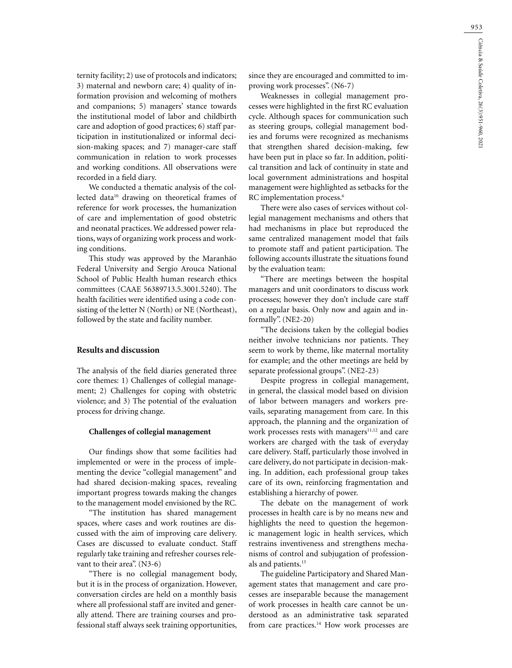ternity facility; 2) use of protocols and indicators; 3) maternal and newborn care; 4) quality of information provision and welcoming of mothers and companions; 5) managers' stance towards the institutional model of labor and childbirth care and adoption of good practices; 6) staff participation in institutionalized or informal decision-making spaces; and 7) manager-care staff communication in relation to work processes and working conditions. All observations were recorded in a field diary.

We conducted a thematic analysis of the collected data<sup>10</sup> drawing on theoretical frames of reference for work processes, the humanization of care and implementation of good obstetric and neonatal practices. We addressed power relations, ways of organizing work process and working conditions.

This study was approved by the Maranhão Federal University and Sergio Arouca National School of Public Health human research ethics committees (CAAE 56389713.5.3001.5240). The health facilities were identified using a code consisting of the letter N (North) or NE (Northeast), followed by the state and facility number.

## **Results and discussion**

The analysis of the field diaries generated three core themes: 1) Challenges of collegial management; 2) Challenges for coping with obstetric violence; and 3) The potential of the evaluation process for driving change.

#### **Challenges of collegial management**

Our findings show that some facilities had implemented or were in the process of implementing the device "collegial management" and had shared decision-making spaces, revealing important progress towards making the changes to the management model envisioned by the RC.

"The institution has shared management spaces, where cases and work routines are discussed with the aim of improving care delivery. Cases are discussed to evaluate conduct. Staff regularly take training and refresher courses relevant to their area". (N3-6)

"There is no collegial management body, but it is in the process of organization. However, conversation circles are held on a monthly basis where all professional staff are invited and generally attend. There are training courses and professional staff always seek training opportunities, since they are encouraged and committed to improving work processes". (N6-7)

Weaknesses in collegial management processes were highlighted in the first RC evaluation cycle. Although spaces for communication such as steering groups, collegial management bodies and forums were recognized as mechanisms that strengthen shared decision-making, few have been put in place so far. In addition, political transition and lack of continuity in state and local government administrations and hospital management were highlighted as setbacks for the RC implementation process.<sup>6</sup>

There were also cases of services without collegial management mechanisms and others that had mechanisms in place but reproduced the same centralized management model that fails to promote staff and patient participation. The following accounts illustrate the situations found by the evaluation team:

"There are meetings between the hospital managers and unit coordinators to discuss work processes; however they don't include care staff on a regular basis. Only now and again and informally". (NE2-20)

"The decisions taken by the collegial bodies neither involve technicians nor patients. They seem to work by theme, like maternal mortality for example; and the other meetings are held by separate professional groups". (NE2-23)

Despite progress in collegial management, in general, the classical model based on division of labor between managers and workers prevails, separating management from care. In this approach, the planning and the organization of work processes rests with managers $11,12$  and care workers are charged with the task of everyday care delivery. Staff, particularly those involved in care delivery, do not participate in decision-making. In addition, each professional group takes care of its own, reinforcing fragmentation and establishing a hierarchy of power.

The debate on the management of work processes in health care is by no means new and highlights the need to question the hegemonic management logic in health services, which restrains inventiveness and strengthens mechanisms of control and subjugation of professionals and patients.<sup>13</sup>

The guideline Participatory and Shared Management states that management and care processes are inseparable because the management of work processes in health care cannot be understood as an administrative task separated from care practices.<sup>14</sup> How work processes are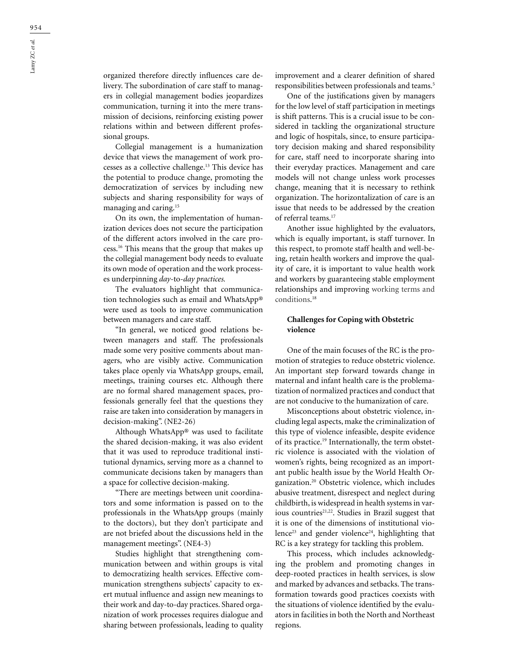organized therefore directly influences care delivery. The subordination of care staff to managers in collegial management bodies jeopardizes communication, turning it into the mere transmission of decisions, reinforcing existing power relations within and between different professional groups.

Collegial management is a humanization device that views the management of work processes as a collective challenge.13 This device has the potential to produce change, promoting the democratization of services by including new subjects and sharing responsibility for ways of managing and caring.15

On its own, the implementation of humanization devices does not secure the participation of the different actors involved in the care process.16 This means that the group that makes up the collegial management body needs to evaluate its own mode of operation and the work processes underpinning *day-*to*-day practices.*

The evaluators highlight that communication technologies such as email and WhatsApp® were used as tools to improve communication between managers and care staff.

"In general, we noticed good relations between managers and staff. The professionals made some very positive comments about managers, who are visibly active. Communication takes place openly via WhatsApp groups, email, meetings, training courses etc. Although there are no formal shared management spaces, professionals generally feel that the questions they raise are taken into consideration by managers in decision-making". (NE2-26)

Although WhatsApp® was used to facilitate the shared decision-making, it was also evident that it was used to reproduce traditional institutional dynamics, serving more as a channel to communicate decisions taken by managers than a space for collective decision-making.

"There are meetings between unit coordinators and some information is passed on to the professionals in the WhatsApp groups (mainly to the doctors), but they don't participate and are not briefed about the discussions held in the management meetings". (NE4-3)

Studies highlight that strengthening communication between and within groups is vital to democratizing health services. Effective communication strengthens subjects' capacity to exert mutual influence and assign new meanings to their work and day-to-day practices. Shared organization of work processes requires dialogue and sharing between professionals, leading to quality improvement and a clearer definition of shared responsibilities between professionals and teams.5

One of the justifications given by managers for the low level of staff participation in meetings is shift patterns. This is a crucial issue to be considered in tackling the organizational structure and logic of hospitals, since, to ensure participatory decision making and shared responsibility for care, staff need to incorporate sharing into their everyday practices. Management and care models will not change unless work processes change, meaning that it is necessary to rethink organization. The horizontalization of care is an issue that needs to be addressed by the creation of referral teams.17

Another issue highlighted by the evaluators, which is equally important, is staff turnover. In this respect, to promote staff health and well-being, retain health workers and improve the quality of care, it is important to value health work and workers by guaranteeing stable employment relationships and improving working terms and conditions. 18

## **Challenges for Coping with Obstetric violence**

One of the main focuses of the RC is the promotion of strategies to reduce obstetric violence. An important step forward towards change in maternal and infant health care is the problematization of normalized practices and conduct that are not conducive to the humanization of care.

Misconceptions about obstetric violence, including legal aspects, make the criminalization of this type of violence infeasible, despite evidence of its practice.19 Internationally, the term obstetric violence is associated with the violation of women's rights, being recognized as an important public health issue by the World Health Organization.20 Obstetric violence, which includes abusive treatment, disrespect and neglect during childbirth, is widespread in health systems in various countries $21,22$ . Studies in Brazil suggest that it is one of the dimensions of institutional violence<sup>23</sup> and gender violence<sup>24</sup>, highlighting that RC is a key strategy for tackling this problem.

This process, which includes acknowledging the problem and promoting changes in deep-rooted practices in health services, is slow and marked by advances and setbacks. The transformation towards good practices coexists with the situations of violence identified by the evaluators in facilities in both the North and Northeast regions.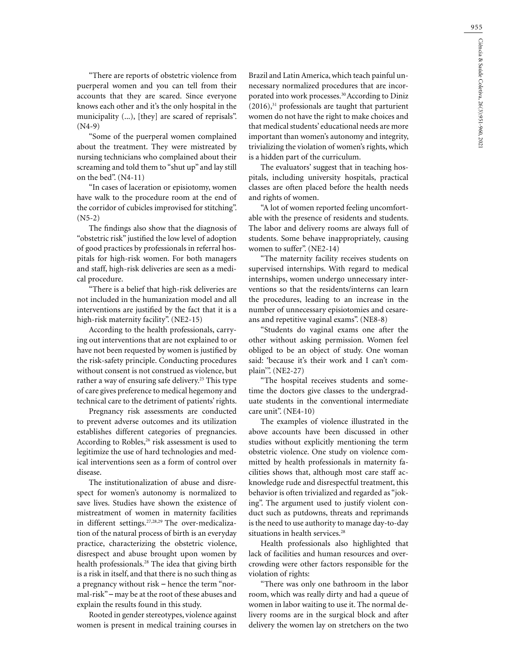"There are reports of obstetric violence from puerperal women and you can tell from their accounts that they are scared. Since everyone knows each other and it's the only hospital in the municipality (...), [they] are scared of reprisals". (N4-9)

"Some of the puerperal women complained about the treatment. They were mistreated by nursing technicians who complained about their screaming and told them to "shut up" and lay still on the bed". (N4-11)

"In cases of laceration or episiotomy, women have walk to the procedure room at the end of the corridor of cubicles improvised for stitching". (N5-2)

The findings also show that the diagnosis of "obstetric risk" justified the low level of adoption of good practices by professionals in referral hospitals for high-risk women. For both managers and staff, high-risk deliveries are seen as a medical procedure.

"There is a belief that high-risk deliveries are not included in the humanization model and all interventions are justified by the fact that it is a high-risk maternity facility". (NE2-15)

According to the health professionals, carrying out interventions that are not explained to or have not been requested by women is justified by the risk-safety principle. Conducting procedures without consent is not construed as violence, but rather a way of ensuring safe delivery.<sup>25</sup> This type of care gives preference to medical hegemony and technical care to the detriment of patients' rights.

Pregnancy risk assessments are conducted to prevent adverse outcomes and its utilization establishes different categories of pregnancies. According to Robles, $26$  risk assessment is used to legitimize the use of hard technologies and medical interventions seen as a form of control over disease.

The institutionalization of abuse and disrespect for women's autonomy is normalized to save lives. Studies have shown the existence of mistreatment of women in maternity facilities in different settings.<sup>27,28,29</sup> The over-medicalization of the natural process of birth is an everyday practice, characterizing the obstetric violence, disrespect and abuse brought upon women by health professionals.<sup>28</sup> The idea that giving birth is a risk in itself, and that there is no such thing as a pregnancy without risk – hence the term "normal-risk" – may be at the root of these abuses and explain the results found in this study.

Rooted in gender stereotypes, violence against women is present in medical training courses in

Brazil and Latin America, which teach painful unnecessary normalized procedures that are incorporated into work processes.30 According to Diniz  $(2016)$ ,<sup>31</sup> professionals are taught that parturient women do not have the right to make choices and that medical students' educational needs are more important than women's autonomy and integrity, trivializing the violation of women's rights, which is a hidden part of the curriculum.

The evaluators' suggest that in teaching hospitals, including university hospitals, practical classes are often placed before the health needs and rights of women.

"A lot of women reported feeling uncomfortable with the presence of residents and students. The labor and delivery rooms are always full of students. Some behave inappropriately, causing women to suffer". (NE2-14)

"The maternity facility receives students on supervised internships. With regard to medical internships, women undergo unnecessary interventions so that the residents/interns can learn the procedures, leading to an increase in the number of unnecessary episiotomies and cesareans and repetitive vaginal exams". (NE8-8)

"Students do vaginal exams one after the other without asking permission. Women feel obliged to be an object of study. One woman said: 'because it's their work and I can't complain'". (NE2-27)

"The hospital receives students and sometime the doctors give classes to the undergraduate students in the conventional intermediate care unit". (NE4-10)

The examples of violence illustrated in the above accounts have been discussed in other studies without explicitly mentioning the term obstetric violence. One study on violence committed by health professionals in maternity facilities shows that, although most care staff acknowledge rude and disrespectful treatment, this behavior is often trivialized and regarded as "joking". The argument used to justify violent conduct such as putdowns, threats and reprimands is the need to use authority to manage day-to-day situations in health services.<sup>28</sup>

Health professionals also highlighted that lack of facilities and human resources and overcrowding were other factors responsible for the violation of rights:

"There was only one bathroom in the labor room, which was really dirty and had a queue of women in labor waiting to use it. The normal delivery rooms are in the surgical block and after delivery the women lay on stretchers on the two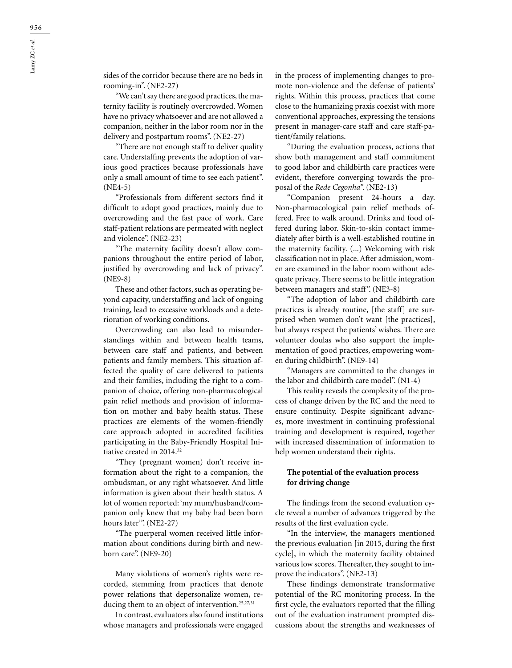sides of the corridor because there are no beds in rooming-in". (NE2-27)

"We can't say there are good practices, the maternity facility is routinely overcrowded. Women have no privacy whatsoever and are not allowed a companion, neither in the labor room nor in the delivery and postpartum rooms". (NE2-27)

"There are not enough staff to deliver quality care. Understaffing prevents the adoption of various good practices because professionals have only a small amount of time to see each patient". (NE4-5)

"Professionals from different sectors find it difficult to adopt good practices, mainly due to overcrowding and the fast pace of work. Care staff-patient relations are permeated with neglect and violence". (NE2-23)

"The maternity facility doesn't allow companions throughout the entire period of labor, justified by overcrowding and lack of privacy". (NE9-8)

These and other factors, such as operating beyond capacity, understaffing and lack of ongoing training, lead to excessive workloads and a deterioration of working conditions.

Overcrowding can also lead to misunderstandings within and between health teams, between care staff and patients, and between patients and family members. This situation affected the quality of care delivered to patients and their families, including the right to a companion of choice, offering non-pharmacological pain relief methods and provision of information on mother and baby health status. These practices are elements of the women-friendly care approach adopted in accredited facilities participating in the Baby-Friendly Hospital Initiative created in 2014.<sup>32</sup>

"They (pregnant women) don't receive information about the right to a companion, the ombudsman, or any right whatsoever. And little information is given about their health status. A lot of women reported: 'my mum/husband/companion only knew that my baby had been born hours later". (NE2-27)

"The puerperal women received little information about conditions during birth and newborn care". (NE9-20)

Many violations of women's rights were recorded, stemming from practices that denote power relations that depersonalize women, reducing them to an object of intervention.<sup>25,27,31</sup>

In contrast, evaluators also found institutions whose managers and professionals were engaged in the process of implementing changes to promote non-violence and the defense of patients' rights. Within this process, practices that come close to the humanizing praxis coexist with more conventional approaches, expressing the tensions present in manager-care staff and care staff-patient/family relations.

"During the evaluation process, actions that show both management and staff commitment to good labor and childbirth care practices were evident, therefore converging towards the proposal of the *Rede Cegonha*". (NE2-13)

"Companion present 24-hours a day. Non-pharmacological pain relief methods offered. Free to walk around. Drinks and food offered during labor. Skin-to-skin contact immediately after birth is a well-established routine in the maternity facility. (...) Welcoming with risk classification not in place. After admission, women are examined in the labor room without adequate privacy. There seems to be little integration between managers and staff". (NE3-8)

"The adoption of labor and childbirth care practices is already routine, [the staff] are surprised when women don't want [the practices], but always respect the patients' wishes. There are volunteer doulas who also support the implementation of good practices, empowering women during childbirth". (NE9-14)

"Managers are committed to the changes in the labor and childbirth care model". (N1-4)

This reality reveals the complexity of the process of change driven by the RC and the need to ensure continuity. Despite significant advances, more investment in continuing professional training and development is required, together with increased dissemination of information to help women understand their rights.

#### **The potential of the evaluation process for driving change**

The findings from the second evaluation cycle reveal a number of advances triggered by the results of the first evaluation cycle.

"In the interview, the managers mentioned the previous evaluation [in 2015, during the first cycle], in which the maternity facility obtained various low scores. Thereafter, they sought to improve the indicators". (NE2-13)

These findings demonstrate transformative potential of the RC monitoring process. In the first cycle, the evaluators reported that the filling out of the evaluation instrument prompted discussions about the strengths and weaknesses of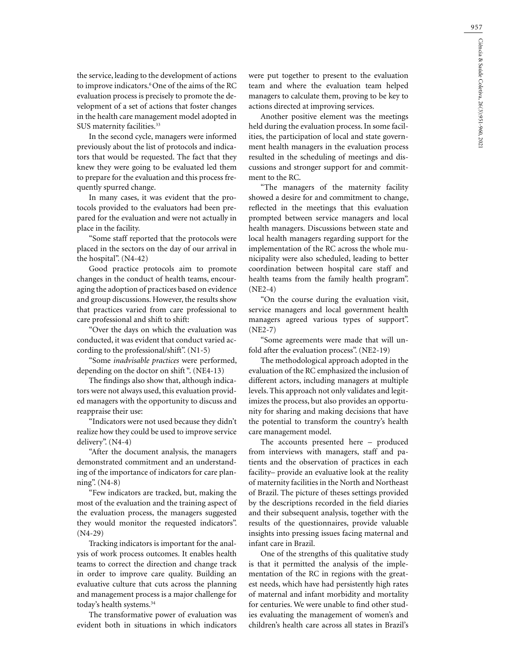the service, leading to the development of actions to improve indicators.<sup>6</sup> One of the aims of the RC evaluation process is precisely to promote the development of a set of actions that foster changes in the health care management model adopted in SUS maternity facilities.<sup>33</sup>

In the second cycle, managers were informed previously about the list of protocols and indicators that would be requested. The fact that they knew they were going to be evaluated led them to prepare for the evaluation and this process frequently spurred change.

In many cases, it was evident that the protocols provided to the evaluators had been prepared for the evaluation and were not actually in place in the facility.

"Some staff reported that the protocols were placed in the sectors on the day of our arrival in the hospital". (N4-42)

Good practice protocols aim to promote changes in the conduct of health teams, encouraging the adoption of practices based on evidence and group discussions. However, the results show that practices varied from care professional to care professional and shift to shift:

"Over the days on which the evaluation was conducted, it was evident that conduct varied according to the professional/shift". (N1-5)

"Some *inadvisable practices* were performed, depending on the doctor on shift ". (NE4-13)

The findings also show that, although indicators were not always used, this evaluation provided managers with the opportunity to discuss and reappraise their use:

"Indicators were not used because they didn't realize how they could be used to improve service delivery". (N4-4)

"After the document analysis, the managers demonstrated commitment and an understanding of the importance of indicators for care planning". (N4-8)

"Few indicators are tracked, but, making the most of the evaluation and the training aspect of the evaluation process, the managers suggested they would monitor the requested indicators". (N4-29)

Tracking indicators is important for the analysis of work process outcomes. It enables health teams to correct the direction and change track in order to improve care quality. Building an evaluative culture that cuts across the planning and management process is a major challenge for today's health systems.<sup>34</sup>

The transformative power of evaluation was evident both in situations in which indicators were put together to present to the evaluation team and where the evaluation team helped managers to calculate them, proving to be key to actions directed at improving services.

Another positive element was the meetings held during the evaluation process. In some facilities, the participation of local and state government health managers in the evaluation process resulted in the scheduling of meetings and discussions and stronger support for and commitment to the RC.

"The managers of the maternity facility showed a desire for and commitment to change, reflected in the meetings that this evaluation prompted between service managers and local health managers. Discussions between state and local health managers regarding support for the implementation of the RC across the whole municipality were also scheduled, leading to better coordination between hospital care staff and health teams from the family health program". (NE2-4)

"On the course during the evaluation visit, service managers and local government health managers agreed various types of support". (NE2-7)

"Some agreements were made that will unfold after the evaluation process". (NE2-19)

The methodological approach adopted in the evaluation of the RC emphasized the inclusion of different actors, including managers at multiple levels. This approach not only validates and legitimizes the process, but also provides an opportunity for sharing and making decisions that have the potential to transform the country's health care management model.

The accounts presented here – produced from interviews with managers, staff and patients and the observation of practices in each facility– provide an evaluative look at the reality of maternity facilities in the North and Northeast of Brazil. The picture of theses settings provided by the descriptions recorded in the field diaries and their subsequent analysis, together with the results of the questionnaires, provide valuable insights into pressing issues facing maternal and infant care in Brazil.

One of the strengths of this qualitative study is that it permitted the analysis of the implementation of the RC in regions with the greatest needs, which have had persistently high rates of maternal and infant morbidity and mortality for centuries. We were unable to find other studies evaluating the management of women's and children's health care across all states in Brazil's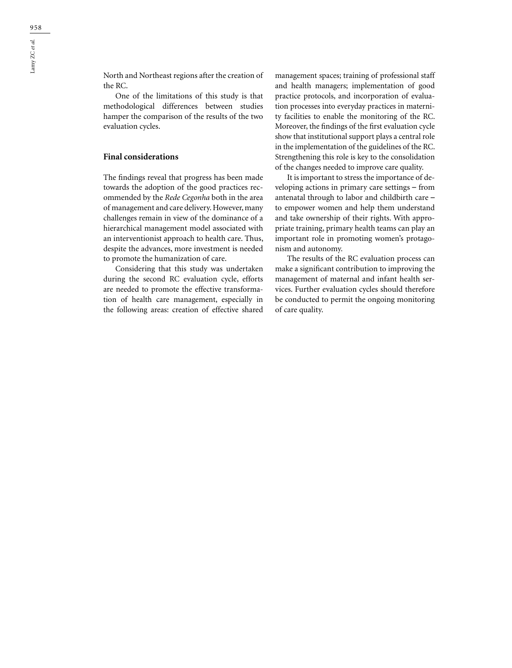One of the limitations of this study is that methodological differences between studies hamper the comparison of the results of the two evaluation cycles.

## **Final considerations**

The findings reveal that progress has been made towards the adoption of the good practices recommended by the *Rede Cegonha* both in the area of management and care delivery. However, many challenges remain in view of the dominance of a hierarchical management model associated with an interventionist approach to health care. Thus, despite the advances, more investment is needed to promote the humanization of care.

Considering that this study was undertaken during the second RC evaluation cycle, efforts are needed to promote the effective transformation of health care management, especially in the following areas: creation of effective shared management spaces; training of professional staff and health managers; implementation of good practice protocols, and incorporation of evaluation processes into everyday practices in maternity facilities to enable the monitoring of the RC. Moreover, the findings of the first evaluation cycle show that institutional support plays a central role in the implementation of the guidelines of the RC. Strengthening this role is key to the consolidation of the changes needed to improve care quality.

It is important to stress the importance of developing actions in primary care settings – from antenatal through to labor and childbirth care – to empower women and help them understand and take ownership of their rights. With appropriate training, primary health teams can play an important role in promoting women's protagonism and autonomy.

The results of the RC evaluation process can make a significant contribution to improving the management of maternal and infant health services. Further evaluation cycles should therefore be conducted to permit the ongoing monitoring of care quality.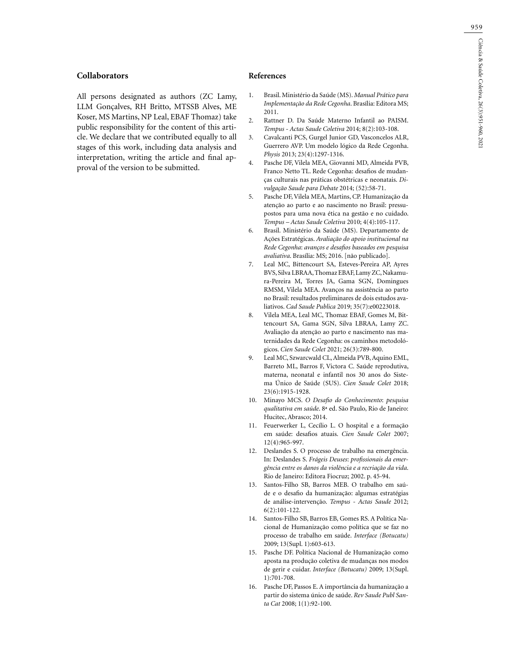#### **Collaborators**

All persons designated as authors (ZC Lamy, LLM Gonçalves, RH Britto, MTSSB Alves, ME Koser, MS Martins, NP Leal, EBAF Thomaz) take public responsibility for the content of this article. We declare that we contributed equally to all stages of this work, including data analysis and interpretation, writing the article and final approval of the version to be submitted.

#### **References**

- 1. Brasil. Ministério da Saúde (MS). *Manual Prático para Implementação da Rede Cegonha*. Brasília: Editora MS; 2011.
- 2. Rattner D. Da Saúde Materno Infantil ao PAISM. *Tempus - Actas Saude Coletiva* 2014; 8(2):103-108.
- 3. Cavalcanti PCS, Gurgel Junior GD, Vasconcelos ALR, Guerrero AVP. Um modelo lógico da Rede Cegonha. *Physis* 2013; 23(4):1297-1316.
- 4. Pasche DF, Vilela MEA, Giovanni MD, Almeida PVB, Franco Netto TL. Rede Cegonha: desafios de mudanças culturais nas práticas obstétricas e neonatais. *Divulgação Saude para Debate* 2014; (52):58-71.
- 5. Pasche DF, Vilela MEA, Martins, CP. Humanização da atenção ao parto e ao nascimento no Brasil: pressupostos para uma nova ética na gestão e no cuidado. *Tempus – Actas Saude Coletiva* 2010; 4(4):105-117.
- 6. Brasil. Ministério da Saúde (MS). Departamento de Ações Estratégicas. *Avaliação do apoio institucional na Rede Cegonha*: *avanços e desafios baseados em pesquisa avaliativa*. Brasília: MS; 2016. [não publicado].
- 7. Leal MC, Bittencourt SA, Esteves-Pereira AP, Ayres BVS, Silva LBRAA, Thomaz EBAF, Lamy ZC, Nakamura-Pereira M, Torres JA, Gama SGN, Domingues RMSM, Vilela MEA. Avanços na assistência ao parto no Brasil: resultados preliminares de dois estudos avaliativos. *Cad Saude Publica* 2019; 35(7):e00223018.
- 8. Vilela MEA, Leal MC, Thomaz EBAF, Gomes M, Bittencourt SA, Gama SGN, Silva LBRAA, Lamy ZC. Avaliação da atenção ao parto e nascimento nas maternidades da Rede Cegonha: os caminhos metodológicos. *Cien Saude Colet* 2021; 26(3):789-800.
- 9. Leal MC, Szwarcwald CL, Almeida PVB, Aquino EML, Barreto ML, Barros F, Victora C. Saúde reprodutiva, materna, neonatal e infantil nos 30 anos do Sistema Único de Saúde (SUS). *Cien Saude Colet* 2018; 23(6):1915-1928.
- 10. Minayo MCS. *O Desafio do Conhecimento*: *pesquisa qualitativa em saúde*. 8ª ed. São Paulo, Rio de Janeiro: Hucitec, Abrasco; 2014.
- 11. Feuerwerker L, Cecílio L. O hospital e a formação em saúde: desafios atuais. *Cien Saude Colet* 2007; 12(4):965-997.
- 12. Deslandes S. O processo de trabalho na emergência. In: Deslandes S. *Frágeis Deuses*: *profissionais da emergência entre os danos da violência e a recriação da vida*. Rio de Janeiro: Editora Fiocruz; 2002. p. 45-94.
- 13. Santos-Filho SB, Barros MEB. O trabalho em saúde e o desafio da humanização: algumas estratégias de análise-intervenção. *Tempus - Actas Saude* 2012; 6(2):101-122.
- 14. Santos-Filho SB, Barros EB, Gomes RS. A Política Nacional de Humanização como política que se faz no processo de trabalho em saúde. *Interface (Botucatu)* 2009; 13(Supl. 1):603-613.
- 15. Pasche DF. Política Nacional de Humanização como aposta na produção coletiva de mudanças nos modos de gerir e cuidar. *Interface (Botucatu)* 2009; 13(Supl. 1):701-708.
- 16. Pasche DF, Passos E. A importância da humanização a partir do sistema único de saúde. *Rev Saude Publ Santa Cat* 2008; 1(1):92-100.